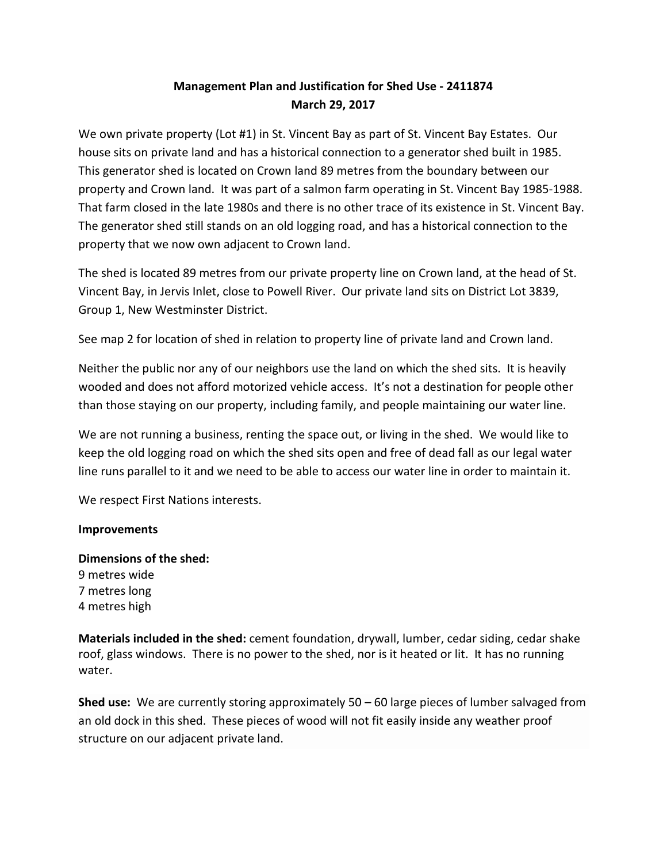## **Management Plan and Justification for Shed Use - 2411874 March 29, 2017**

We own private property (Lot #1) in St. Vincent Bay as part of St. Vincent Bay Estates. Our house sits on private land and has a historical connection to a generator shed built in 1985. This generator shed is located on Crown land 89 metres from the boundary between our property and Crown land. It was part of a salmon farm operating in St. Vincent Bay 1985-1988. That farm closed in the late 1980s and there is no other trace of its existence in St. Vincent Bay. The generator shed still stands on an old logging road, and has a historical connection to the property that we now own adjacent to Crown land.

The shed is located 89 metres from our private property line on Crown land, at the head of St. Vincent Bay, in Jervis Inlet, close to Powell River. Our private land sits on District Lot 3839, Group 1, New Westminster District.

See map 2 for location of shed in relation to property line of private land and Crown land.

Neither the public nor any of our neighbors use the land on which the shed sits. It is heavily wooded and does not afford motorized vehicle access. It's not a destination for people other than those staying on our property, including family, and people maintaining our water line.

We are not running a business, renting the space out, or living in the shed. We would like to keep the old logging road on which the shed sits open and free of dead fall as our legal water line runs parallel to it and we need to be able to access our water line in order to maintain it.

We respect First Nations interests.

## **Improvements**

## **Dimensions of the shed:** 9 metres wide

7 metres long 4 metres high

**Materials included in the shed:** cement foundation, drywall, lumber, cedar siding, cedar shake roof, glass windows. There is no power to the shed, nor is it heated or lit. It has no running water.

**Shed use:** We are currently storing approximately 50 – 60 large pieces of lumber salvaged from an old dock in this shed. These pieces of wood will not fit easily inside any weather proof structure on our adjacent private land.